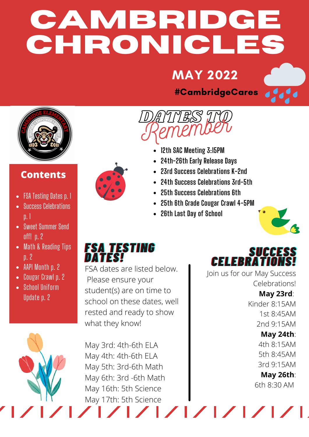# **CAMBRIDGE CHRONICLES**

## MAY 2022

#CambridgeCares

DATES TO



### **Contents**

- FSA Testing Dates p. 1
- Success Celebrations p. 1
- Sweet Summer Send off! p. 2
- Math & Reading Tips p. 2
- AAPI Month p. 2
- Cougar Crawl p. 2
- School Uniform Update p. 2



- **12th SAC Meeting 3:15PM** Remember
	- **24th-26th Early Release Days**
	- **23rd Success Celebrations K-2nd**
	- **24th Success Celebrations 3rd-5th**
	- **25th Success Celebrations 6th**
	- **25th 6th Grade Cougar Crawl 4-5PM**
	- **26th Last Day of School**



## *FFSSAA TTEESSTTIINNGG DDAATTEESS!!*

FSA dates are listed below. Please ensure your student(s) are on time to school on these dates, well rested and ready to show what they know!

May 3rd: 4th-6th ELA May 4th: 4th-6th ELA May 5th: 3rd-6th Math May 6th: 3rd -6th Math May 16th: 5th Science May 17th: 5th Science

**SUCCESS** *CCEELLEEBBRRAATTIIOONNSS!!*

Join us for our May Success Celebrations! **May 23rd**:

Kinder 8:15AM 1st 8:45AM 2nd 9:15AM **May 24th**:

4th 8:15AM 5th 8:45AM 3rd 9:15AM

**May 26th**: 6th 8:30 AM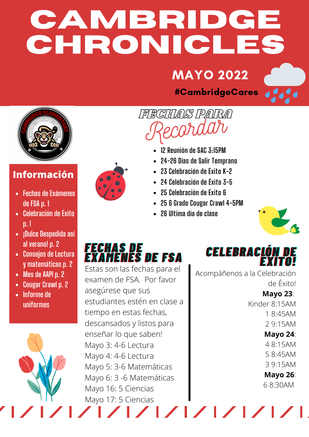# **CAMBRIDGE CHRONICLES**

## **MAYO 2022**

#CambridgeCares



## **Información**

- **Fechas de Exámenes de FSA p. 1**
- **Celebración de Éxito p. 1**
- **¡Dulce Despedida así al verano! p. 2**
- **Consejos de Lectura y matemáticas p. 2**
- **Mes de AAPI p. 2**
- **Cougar Crawl p. 2**
- **Informe de uniformes**



**12 Reunión de SAC 3:15PM**

FECHAS PARA

**24-26 Días de Salir Temprano**

Recordar

- **23 Celebración de Éxito K-2**
- **24 Celebración de Éxito 3-5**
- **25 Celebración de Éxito 6**
- **25 6 Grado Cougar Crawl 4-5PM**
- **26 Ultima día de clase**



## *FFEECCHHAASS DDEE EEXXAAMMEENNEESS DDEE FFSSAA*

Estas son las fechas para el examen de FSA. Por favor asegúrese que sus estudiantes estén en clase a tiempo en estas fechas, descansados y listos para enseñar lo que saben! Mayo 3: 4-6 Lectura Mayo 4: 4-6 Lectura Mayo 5: 3-6 Matemáticas Mayo 6: 3 -6 Matemáticas Mayo 16: 5 Ciencias Mayo 17: 5 Ciencias

*CCEELLEEBBRRAACCIIÓÓNN DDEE ÉÉXXIITTOO!!*

Acompáñenos a la Celebración de Éxito!

> **Mayo 23**: Kinder 8:15AM 1 8:45AM 2 9:15AM

#### **Mayo 24**:

4 8:15AM 5 8:45AM 3 9:15AM

**Mayo 26**:

6 8:30AM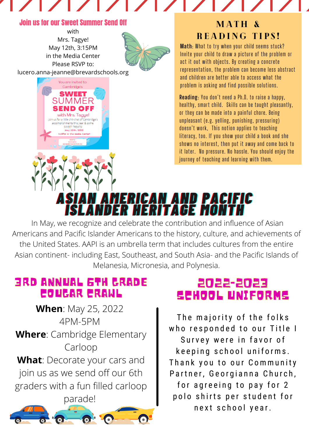#### Join us for our Sweet Summer Send Off

with Mrs. Tagye! May 12th, 3:15PM in the Media Center Please RSVP to:



lucero.anna-jeanne@brevardschools.org



### MATH & READING TIPS!

**Math**: What to try when your child seems stuck? Invite your child to draw a picture of the problem or act it out with objects. By creating a concrete representation, the problem can become less abstract and children are better able to access what the problem is asking and find possible solutions.

**Reading**: You don't need a Ph.D. to raise a happy, healthy, smart child. Skills can be taught pleasantly, or they can be made into a painful chore. Being unpleasant (e.g. yelling, punishing, pressuring) doesn't work, This notion applies to teaching literacy, too. If you show your child a book and she shows no interest, then put it away and come back to it later. No pressure. No hassle. You should enjoy the journey of teaching and learning with them.

## *AASSIIAANN AAMMEERRIICCAANN AANNDD PPAACCIIFFIICC IISSLLAANNDDEERR HHEERRIITTAAGGEE MMOONNTTHH*

In May, we recognize and celebrate the contribution and influence of Asian Americans and Pacific Islander Americans to the history, culture, and achievements of the United States. AAPI is an umbrella term that includes cultures from the entire Asian continent- including East, Southeast, and South Asia- and the Pacific Islands of Melanesia, Micronesia, and Polynesia.

## 3RD ANNUAL 6TH GRADE COUGAR CRAWL

**When**: May 25, 2022 4PM-5PM **Where**: Cambridge Elementary Carloop **What**: Decorate your cars and join us as we send off our 6th graders with a fun filled carloop parade!

## 2022-2023 SCHOOL UNIFORMS

The majority of the folks who responded to our Title I Survey were in favor of keeping school uniforms. Thank you to our Community Partner, Georgianna Church, for agreeing to pay for 2 polo shirts per student for n e x t s chool y e ar.